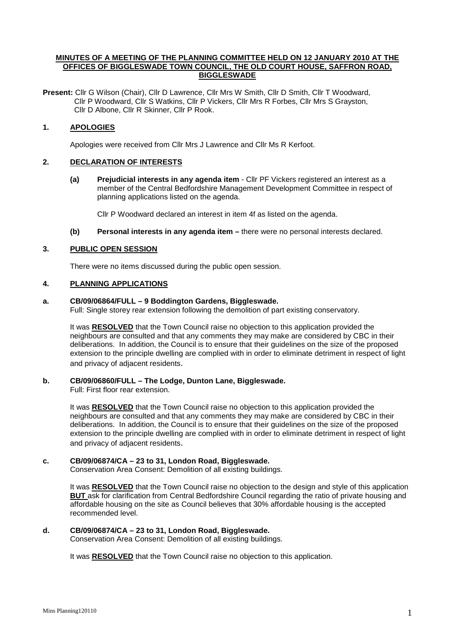## **MINUTES OF A MEETING OF THE PLANNING COMMITTEE HELD ON 12 JANUARY 2010 AT THE OFFICES OF BIGGLESWADE TOWN COUNCIL, THE OLD COURT HOUSE, SAFFRON ROAD, BIGGLESWADE**

**Present:** Cllr G Wilson (Chair), Cllr D Lawrence, Cllr Mrs W Smith, Cllr D Smith, Cllr T Woodward, Cllr P Woodward, Cllr S Watkins, Cllr P Vickers, Cllr Mrs R Forbes, Cllr Mrs S Grayston, Cllr D Albone, Cllr R Skinner, Cllr P Rook.

## **1. APOLOGIES**

Apologies were received from Cllr Mrs J Lawrence and Cllr Ms R Kerfoot.

## **2. DECLARATION OF INTERESTS**

**(a) Prejudicial interests in any agenda item** - Cllr PF Vickers registered an interest as a member of the Central Bedfordshire Management Development Committee in respect of planning applications listed on the agenda.

Cllr P Woodward declared an interest in item 4f as listed on the agenda.

**(b) Personal interests in any agenda item –** there were no personal interests declared.

## **3. PUBLIC OPEN SESSION**

There were no items discussed during the public open session.

## **4. PLANNING APPLICATIONS**

## **a. CB/09/06864/FULL – 9 Boddington Gardens, Biggleswade.**

Full: Single storey rear extension following the demolition of part existing conservatory.

It was **RESOLVED** that the Town Council raise no objection to this application provided the neighbours are consulted and that any comments they may make are considered by CBC in their deliberations. In addition, the Council is to ensure that their guidelines on the size of the proposed extension to the principle dwelling are complied with in order to eliminate detriment in respect of light and privacy of adjacent residents.

## **b. CB/09/06860/FULL – The Lodge, Dunton Lane, Biggleswade.**

Full: First floor rear extension.

It was **RESOLVED** that the Town Council raise no objection to this application provided the neighbours are consulted and that any comments they may make are considered by CBC in their deliberations. In addition, the Council is to ensure that their guidelines on the size of the proposed extension to the principle dwelling are complied with in order to eliminate detriment in respect of light and privacy of adjacent residents.

## **c. CB/09/06874/CA – 23 to 31, London Road, Biggleswade.**

Conservation Area Consent: Demolition of all existing buildings.

It was **RESOLVED** that the Town Council raise no objection to the design and style of this application **BUT** ask for clarification from Central Bedfordshire Council regarding the ratio of private housing and affordable housing on the site as Council believes that 30% affordable housing is the accepted recommended level.

## **d. CB/09/06874/CA – 23 to 31, London Road, Biggleswade.**

Conservation Area Consent: Demolition of all existing buildings.

It was **RESOLVED** that the Town Council raise no objection to this application.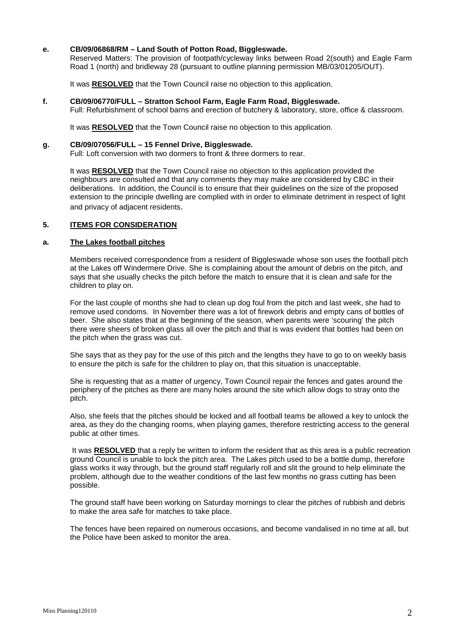## **e. CB/09/06868/RM – Land South of Potton Road, Biggleswade.**

Reserved Matters: The provision of footpath/cycleway links between Road 2(south) and Eagle Farm Road 1 (north) and bridleway 28 (pursuant to outline planning permission MB/03/01205/OUT).

It was **RESOLVED** that the Town Council raise no objection to this application.

## **f. CB/09/06770/FULL – Stratton School Farm, Eagle Farm Road, Biggleswade.**

Full: Refurbishment of school barns and erection of butchery & laboratory, store, office & classroom.

It was **RESOLVED** that the Town Council raise no objection to this application.

## **g. CB/09/07056/FULL – 15 Fennel Drive, Biggleswade.**

Full: Loft conversion with two dormers to front & three dormers to rear.

It was **RESOLVED** that the Town Council raise no objection to this application provided the neighbours are consulted and that any comments they may make are considered by CBC in their deliberations. In addition, the Council is to ensure that their guidelines on the size of the proposed extension to the principle dwelling are complied with in order to eliminate detriment in respect of light and privacy of adjacent residents.

## **5. ITEMS FOR CONSIDERATION**

#### **a. The Lakes football pitches**

Members received correspondence from a resident of Biggleswade whose son uses the football pitch at the Lakes off Windermere Drive. She is complaining about the amount of debris on the pitch, and says that she usually checks the pitch before the match to ensure that it is clean and safe for the children to play on.

For the last couple of months she had to clean up dog foul from the pitch and last week, she had to remove used condoms. In November there was a lot of firework debris and empty cans of bottles of beer. She also states that at the beginning of the season, when parents were 'scouring' the pitch there were sheers of broken glass all over the pitch and that is was evident that bottles had been on the pitch when the grass was cut.

She says that as they pay for the use of this pitch and the lengths they have to go to on weekly basis to ensure the pitch is safe for the children to play on, that this situation is unacceptable.

She is requesting that as a matter of urgency, Town Council repair the fences and gates around the periphery of the pitches as there are many holes around the site which allow dogs to stray onto the pitch.

Also, she feels that the pitches should be locked and all football teams be allowed a key to unlock the area, as they do the changing rooms, when playing games, therefore restricting access to the general public at other times.

 It was **RESOLVED** that a reply be written to inform the resident that as this area is a public recreation ground Council is unable to lock the pitch area. The Lakes pitch used to be a bottle dump, therefore glass works it way through, but the ground staff regularly roll and slit the ground to help eliminate the problem, although due to the weather conditions of the last few months no grass cutting has been possible.

The ground staff have been working on Saturday mornings to clear the pitches of rubbish and debris to make the area safe for matches to take place.

The fences have been repaired on numerous occasions, and become vandalised in no time at all, but the Police have been asked to monitor the area.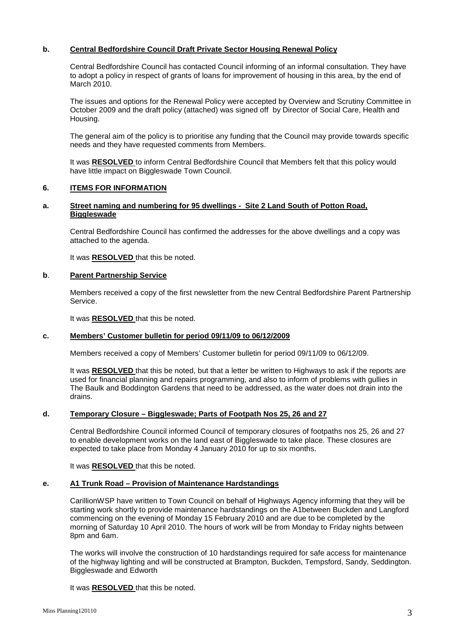## **b. Central Bedfordshire Council Draft Private Sector Housing Renewal Policy**

Central Bedfordshire Council has contacted Council informing of an informal consultation. They have to adopt a policy in respect of grants of loans for improvement of housing in this area, by the end of March 2010.

The issues and options for the Renewal Policy were accepted by Overview and Scrutiny Committee in October 2009 and the draft policy (attached) was signed off by Director of Social Care, Health and Housing.

The general aim of the policy is to prioritise any funding that the Council may provide towards specific needs and they have requested comments from Members.

It was **RESOLVED** to inform Central Bedfordshire Council that Members felt that this policy would have little impact on Biggleswade Town Council.

## **6. ITEMS FOR INFORMATION**

## **a. Street naming and numbering for 95 dwellings - Site 2 Land South of Potton Road, Biggleswade**

Central Bedfordshire Council has confirmed the addresses for the above dwellings and a copy was attached to the agenda.

It was **RESOLVED** that this be noted.

## **b**. **Parent Partnership Service**

Members received a copy of the first newsletter from the new Central Bedfordshire Parent Partnership Service.

It was **RESOLVED** that this be noted.

## **c. Members' Customer bulletin for period 09/11/09 to 06/12/2009**

Members received a copy of Members' Customer bulletin for period 09/11/09 to 06/12/09.

It was **RESOLVED** that this be noted, but that a letter be written to Highways to ask if the reports are used for financial planning and repairs programming, and also to inform of problems with gullies in The Baulk and Boddington Gardens that need to be addressed, as the water does not drain into the drains.

## **d. Temporary Closure – Biggleswade; Parts of Footpath Nos 25, 26 and 27**

Central Bedfordshire Council informed Council of temporary closures of footpaths nos 25, 26 and 27 to enable development works on the land east of Biggleswade to take place. These closures are expected to take place from Monday 4 January 2010 for up to six months.

It was **RESOLVED** that this be noted.

## **e. A1 Trunk Road – Provision of Maintenance Hardstandings**

CarillionWSP have written to Town Council on behalf of Highways Agency informing that they will be starting work shortly to provide maintenance hardstandings on the A1between Buckden and Langford commencing on the evening of Monday 15 February 2010 and are due to be completed by the morning of Saturday 10 April 2010. The hours of work will be from Monday to Friday nights between 8pm and 6am.

The works will involve the construction of 10 hardstandings required for safe access for maintenance of the highway lighting and will be constructed at Brampton, Buckden, Tempsford, Sandy, Seddington. Biggleswade and Edworth

It was **RESOLVED** that this be noted.